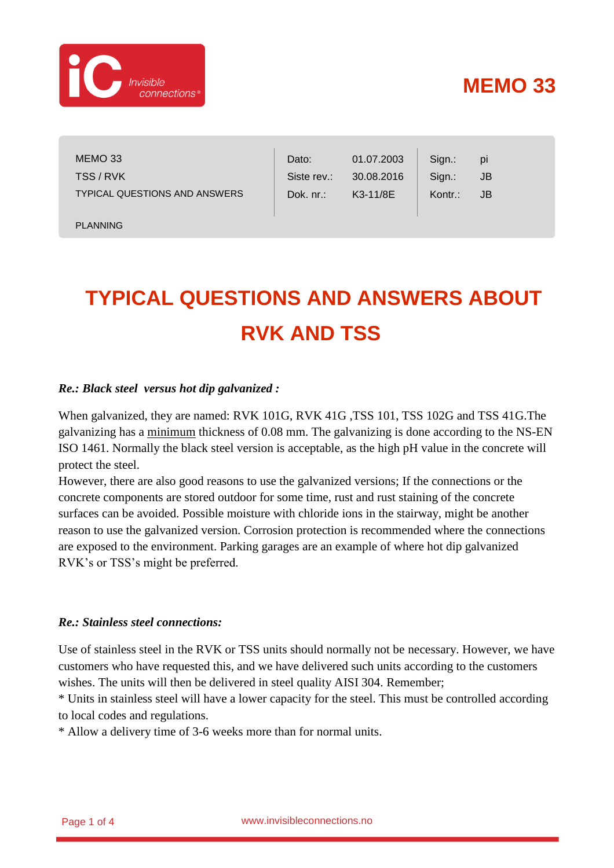

# **MEMO 33**

MEMO 33 TSS / RVK TYPICAL QUESTIONS AND ANSWERS

PLANNING

Dato: Siste rev.: Dok. nr.: Sign.: Sign.: Kontr.: 01.07.2003 30.08.2016 K3-11/8E pi JB JB

# **TYPICAL QUESTIONS AND ANSWERS ABOUT RVK AND TSS**

#### *Re.: Black steel versus hot dip galvanized :*

When galvanized, they are named: RVK 101G, RVK 41G ,TSS 101, TSS 102G and TSS 41G.The galvanizing has a minimum thickness of 0.08 mm. The galvanizing is done according to the NS-EN ISO 1461. Normally the black steel version is acceptable, as the high pH value in the concrete will protect the steel.

However, there are also good reasons to use the galvanized versions; If the connections or the concrete components are stored outdoor for some time, rust and rust staining of the concrete surfaces can be avoided. Possible moisture with chloride ions in the stairway, might be another reason to use the galvanized version. Corrosion protection is recommended where the connections are exposed to the environment. Parking garages are an example of where hot dip galvanized RVK's or TSS's might be preferred.

#### *Re.: Stainless steel connections:*

Use of stainless steel in the RVK or TSS units should normally not be necessary. However, we have customers who have requested this, and we have delivered such units according to the customers wishes. The units will then be delivered in steel quality AISI 304. Remember;

\* Units in stainless steel will have a lower capacity for the steel. This must be controlled according to local codes and regulations.

\* Allow a delivery time of 3-6 weeks more than for normal units.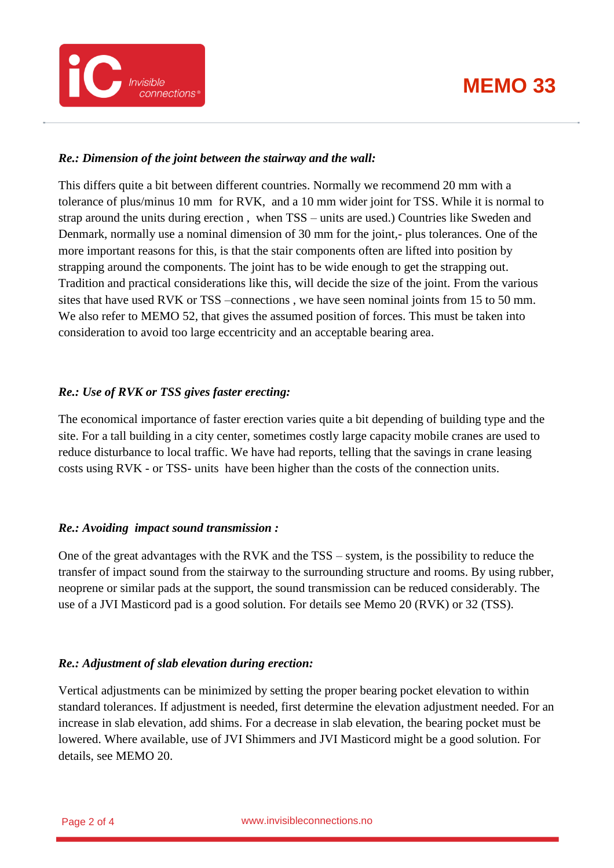

#### *Re.: Dimension of the joint between the stairway and the wall:*

Invisible

connections

This differs quite a bit between different countries. Normally we recommend 20 mm with a tolerance of plus/minus 10 mm for RVK, and a 10 mm wider joint for TSS. While it is normal to strap around the units during erection , when TSS – units are used.) Countries like Sweden and Denmark, normally use a nominal dimension of 30 mm for the joint,- plus tolerances. One of the more important reasons for this, is that the stair components often are lifted into position by strapping around the components. The joint has to be wide enough to get the strapping out. Tradition and practical considerations like this, will decide the size of the joint. From the various sites that have used RVK or TSS –connections , we have seen nominal joints from 15 to 50 mm. We also refer to MEMO 52, that gives the assumed position of forces. This must be taken into consideration to avoid too large eccentricity and an acceptable bearing area.

#### *Re.: Use of RVK or TSS gives faster erecting:*

The economical importance of faster erection varies quite a bit depending of building type and the site. For a tall building in a city center, sometimes costly large capacity mobile cranes are used to reduce disturbance to local traffic. We have had reports, telling that the savings in crane leasing costs using RVK - or TSS- units have been higher than the costs of the connection units.

#### *Re.: Avoiding impact sound transmission :*

One of the great advantages with the RVK and the TSS – system, is the possibility to reduce the transfer of impact sound from the stairway to the surrounding structure and rooms. By using rubber, neoprene or similar pads at the support, the sound transmission can be reduced considerably. The use of a JVI Masticord pad is a good solution. For details see Memo 20 (RVK) or 32 (TSS).

#### *Re.: Adjustment of slab elevation during erection:*

Vertical adjustments can be minimized by setting the proper bearing pocket elevation to within standard tolerances. If adjustment is needed, first determine the elevation adjustment needed. For an increase in slab elevation, add shims. For a decrease in slab elevation, the bearing pocket must be lowered. Where available, use of JVI Shimmers and JVI Masticord might be a good solution. For details, see MEMO 20.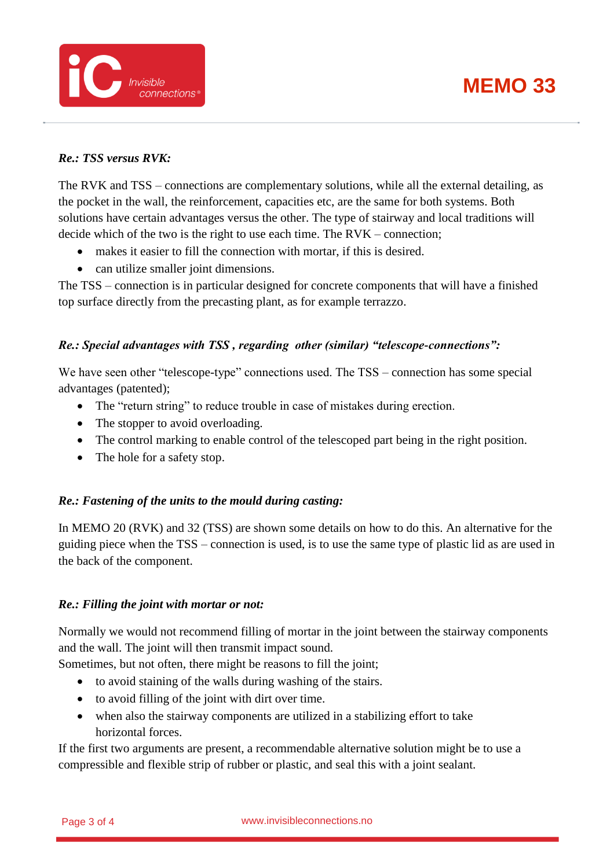



### *Re.: TSS versus RVK:*

The RVK and TSS – connections are complementary solutions, while all the external detailing, as the pocket in the wall, the reinforcement, capacities etc, are the same for both systems. Both solutions have certain advantages versus the other. The type of stairway and local traditions will decide which of the two is the right to use each time. The RVK – connection;

- makes it easier to fill the connection with mortar, if this is desired.
- can utilize smaller joint dimensions.

The TSS – connection is in particular designed for concrete components that will have a finished top surface directly from the precasting plant, as for example terrazzo.

### *Re.: Special advantages with TSS , regarding other (similar) "telescope-connections":*

We have seen other "telescope-type" connections used. The TSS – connection has some special advantages (patented);

- The "return string" to reduce trouble in case of mistakes during erection.
- The stopper to avoid overloading.
- The control marking to enable control of the telescoped part being in the right position.
- The hole for a safety stop.

#### *Re.: Fastening of the units to the mould during casting:*

In MEMO 20 (RVK) and 32 (TSS) are shown some details on how to do this. An alternative for the guiding piece when the TSS – connection is used, is to use the same type of plastic lid as are used in the back of the component.

#### *Re.: Filling the joint with mortar or not:*

Normally we would not recommend filling of mortar in the joint between the stairway components and the wall. The joint will then transmit impact sound.

Sometimes, but not often, there might be reasons to fill the joint;

- to avoid staining of the walls during washing of the stairs.
- to avoid filling of the joint with dirt over time.
- when also the stairway components are utilized in a stabilizing effort to take horizontal forces.

If the first two arguments are present, a recommendable alternative solution might be to use a compressible and flexible strip of rubber or plastic, and seal this with a joint sealant.